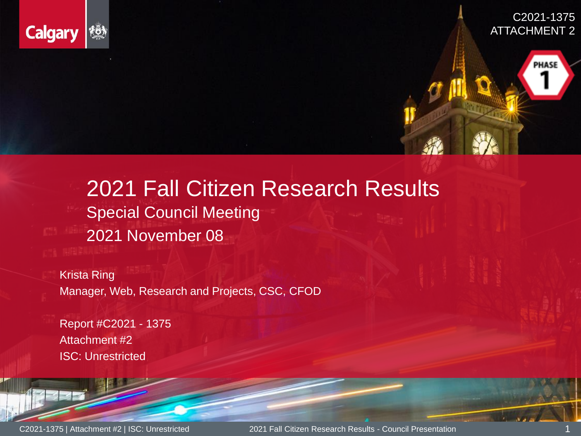

C2021-1375 ATTACHMENT 2

PHASE

### 2021 Fall Citizen Research Results Special Council Meeting 2021 November 08

 $\mathsf{Ring}_{\mathsf{max}}$ Manager, Web, Research and Projects, CSC, CFOD Krista Ring

Report # C2021 - 1375 Attachment # Attachment #2 ISC: Restricted and Department ISC: Unrestricted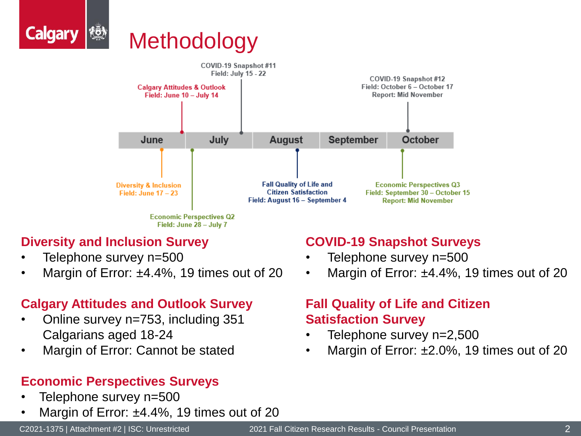



### **Diversity and Inclusion Survey**

- Telephone survey n=500
- Margin of Error:  $\pm 4.4\%$ , 19 times out of 20

### **Calgary Attitudes and Outlook Survey**

- Online survey n=753, including 351 Calgarians aged 18-24
- Margin of Error: Cannot be stated

### **Economic Perspectives Surveys**

- Telephone survey n=500
- Margin of Error: ±4.4%, 19 times out of 20

#### **COVID-19 Snapshot Surveys**

- Telephone survey n=500
- Margin of Error: ±4.4%, 19 times out of 20

### **Fall Quality of Life and Citizen Satisfaction Survey**

- Telephone survey n=2,500
- Margin of Error: ±2.0%, 19 times out of 20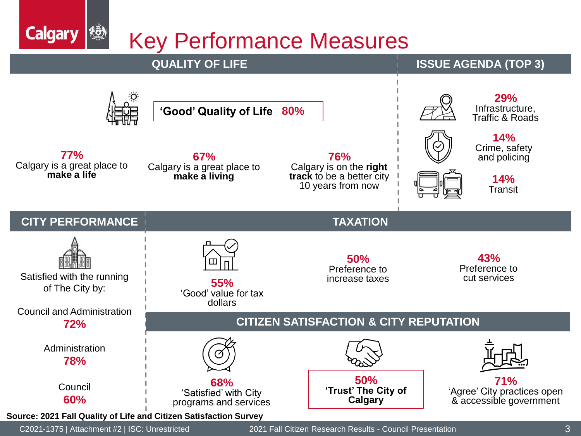Key Performance Measures



**Calgary** 

 $\{\bar{\vec{0}}\}$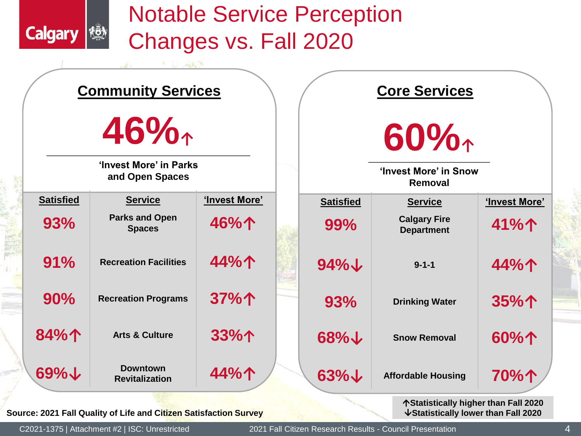### Notable Service Perception Changes vs. Fall 2020



**Source: 2021 Fall Quality of Life and Citizen Satisfaction Survey**

**KÖN** 

**Calgary**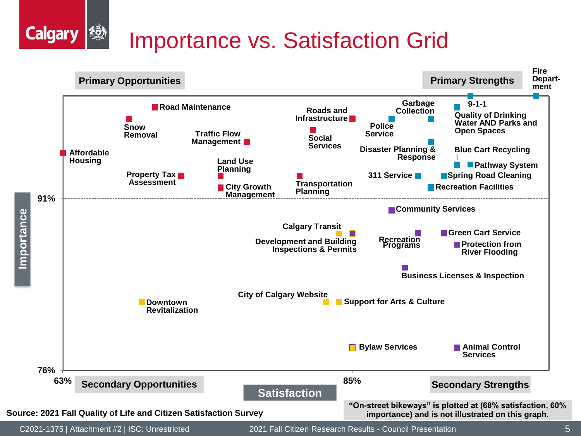#### **AOA** Importance vs. Satisfaction Grid



**Calgary**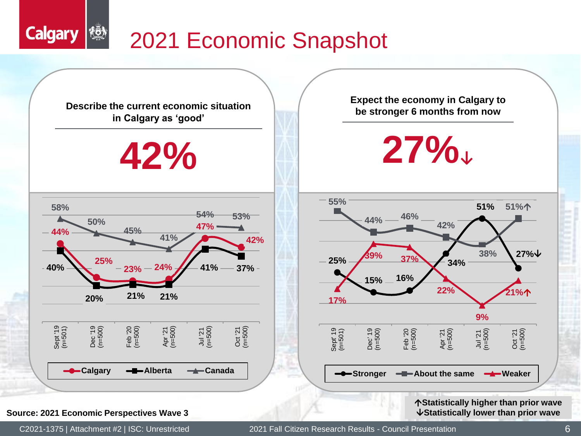## 2021 Economic Snapshot



#### **Source: 2021 Economic Perspectives Wave 3 Source: 2021 Economic Perspectives Wave 3 Source: 2021 Economic Perspectives Wave 3**

**KÖN** 

**Calgary**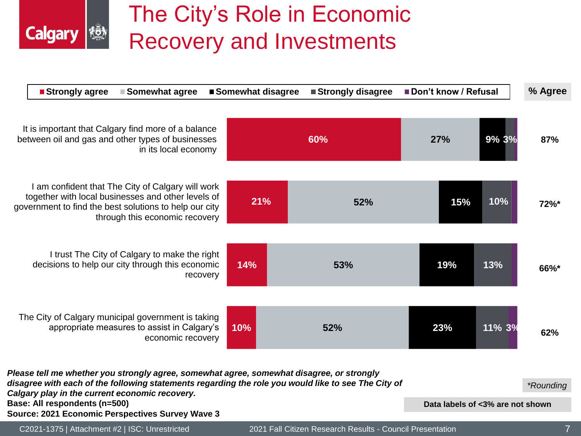### The City's Role in Economic Recovery and Investments

**Calgary (** 

| ■ Strongly agree<br>■ Somewhat agree                                                                                                                                                                                                                                                                                                    | ■ Somewhat disagree | ■Strongly disagree                                        | Don't know / Refusal             |        | % Agree        |
|-----------------------------------------------------------------------------------------------------------------------------------------------------------------------------------------------------------------------------------------------------------------------------------------------------------------------------------------|---------------------|-----------------------------------------------------------|----------------------------------|--------|----------------|
| It is important that Calgary find more of a balance<br>between oil and gas and other types of businesses<br>in its local economy                                                                                                                                                                                                        |                     | 60%                                                       | 27%                              | 9% 3%  | 87%            |
| I am confident that The City of Calgary will work<br>together with local businesses and other levels of<br>government to find the best solutions to help our city<br>through this economic recovery                                                                                                                                     | 21%                 | 52%                                                       | 15%                              | 10%    | 72%*           |
| I trust The City of Calgary to make the right<br>decisions to help our city through this economic<br>recovery                                                                                                                                                                                                                           | 14%                 | 53%                                                       | 19%                              | 13%    | 66%*           |
| The City of Calgary municipal government is taking<br>appropriate measures to assist in Calgary's<br>economic recovery                                                                                                                                                                                                                  | 10%                 | 52%                                                       | 23%                              | 11% 3% | 62%            |
| Please tell me whether you strongly agree, somewhat agree, somewhat disagree, or strongly<br>disagree with each of the following statements regarding the role you would like to see The City of<br>Calgary play in the current economic recovery.<br>Base: All respondents (n=500)<br>Source: 2021 Economic Perspectives Survey Wave 3 |                     |                                                           | Data labels of <3% are not shown |        | *Rounding      |
| C2021-1375   Attachment #2   ISC: Unrestricted                                                                                                                                                                                                                                                                                          |                     | 2021 Fall Citizen Research Results - Council Presentation |                                  |        | $\overline{7}$ |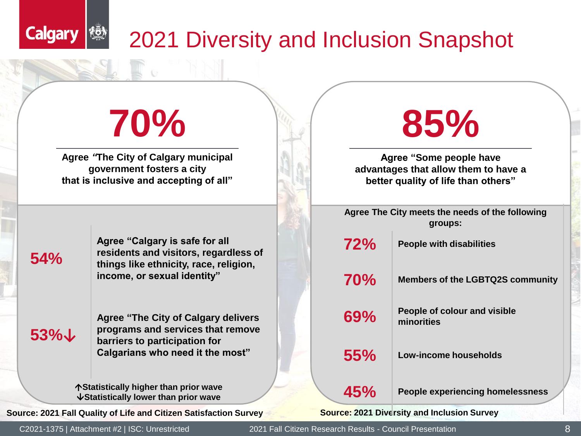### 2021 Diversity and Inclusion Snapshot

## **70%**

**Agree** *"***The City of Calgary municipal government fosters a city that is inclusive and accepting of all"**

# **85%**

**Agree "Some people have advantages that allow them to have a better quality of life than others"**

**Agree The City meets the needs of the following groups:**

**72% People with disabilities**

**70% Members of the LGBTQ2S community**

**69% People of colour and visible minorities**

**55% Low-income households**

**Source: 2021 Diversity and Inclusion Survey**

### **54%**

**Calgary** 

<u>rön</u>

**Agree "Calgary is safe for all residents and visitors, regardless of things like ethnicity, race, religion, income, or sexual identity"**

**53%↓**

**Agree "The City of Calgary delivers programs and services that remove barriers to participation for Calgarians who need it the most"**

**45%** People experiencing homelessness **45%** People experiencing homelessness **Statistically lower than prior wave**

**Source: 2021 Fall Quality of Life and Citizen Satisfaction Survey**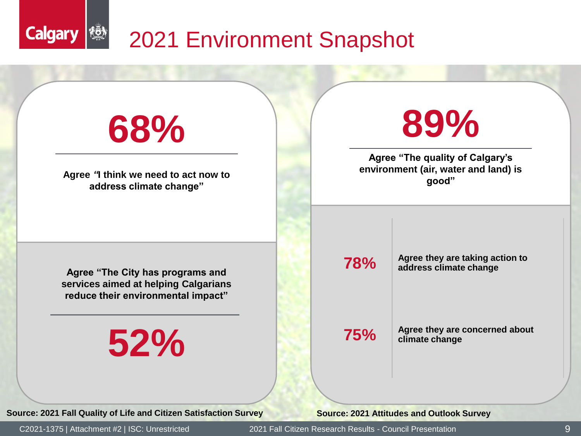

**Source: 2021 Fall Quality of Life and Citizen Satisfaction Survey**

**Source: 2021 Attitudes and Outlook Survey**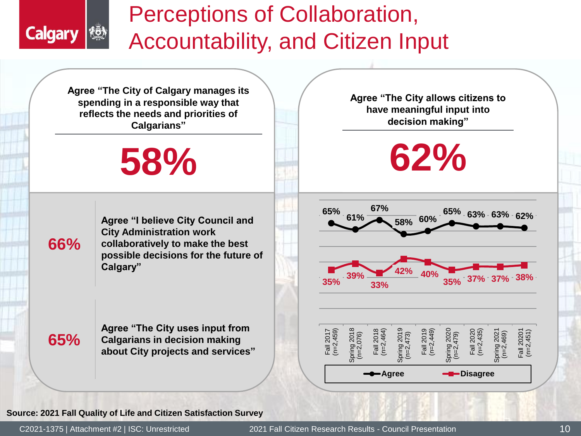

### Perceptions of Collaboration, Accountability, and Citizen Input

**Agree "The City of Calgary manages its spending in a responsible way that reflects the needs and priorities of Calgarians"**

## **58%**

**66%**

**Agree "I believe City Council and City Administration work collaboratively to make the best possible decisions for the future of Calgary"** 

**65%**

**Agree "The City uses input from Calgarians in decision making about City projects and services"** **Agree "The City allows citizens to have meaningful input into decision making"**

**62%**







#### **Source: 2021 Fall Quality of Life and Citizen Satisfaction Survey**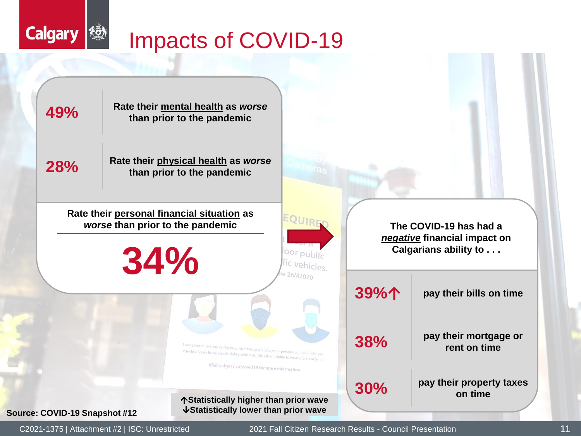### $\{\bar{\vec{Q}}\}$ Impacts of COVID-19



**Calgary**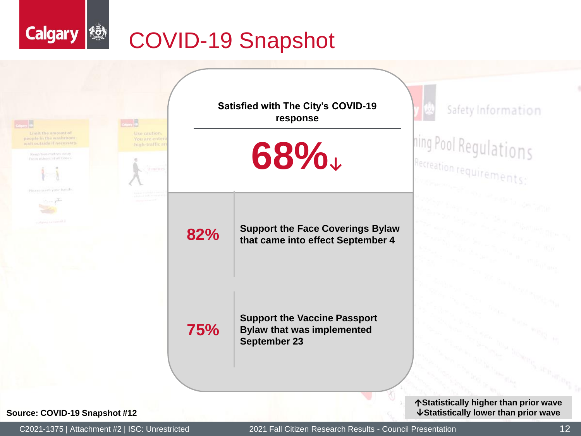